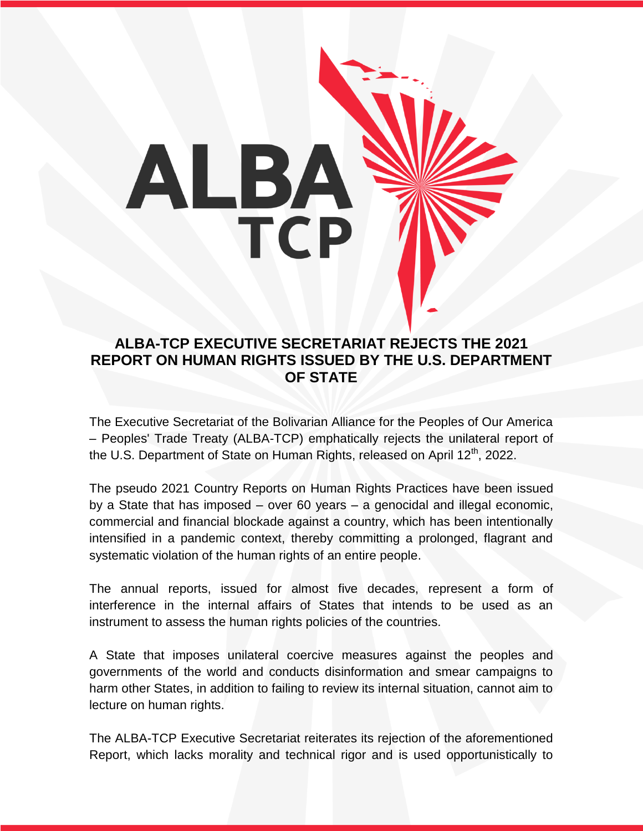

## **ALBA-TCP EXECUTIVE SECRETARIAT REJECTS THE 2021 REPORT ON HUMAN RIGHTS ISSUED BY THE U.S. DEPARTMENT OF STATE**

The Executive Secretariat of the Bolivarian Alliance for the Peoples of Our America – Peoples' Trade Treaty (ALBA-TCP) emphatically rejects the unilateral report of the U.S. Department of State on Human Rights, released on April 12<sup>th</sup>, 2022.

The pseudo 2021 Country Reports on Human Rights Practices have been issued by a State that has imposed – over 60 years – a genocidal and illegal economic, commercial and financial blockade against a country, which has been intentionally intensified in a pandemic context, thereby committing a prolonged, flagrant and systematic violation of the human rights of an entire people.

The annual reports, issued for almost five decades, represent a form of interference in the internal affairs of States that intends to be used as an instrument to assess the human rights policies of the countries.

A State that imposes unilateral coercive measures against the peoples and governments of the world and conducts disinformation and smear campaigns to harm other States, in addition to failing to review its internal situation, cannot aim to lecture on human rights.

The ALBA-TCP Executive Secretariat reiterates its rejection of the aforementioned Report, which lacks morality and technical rigor and is used opportunistically to